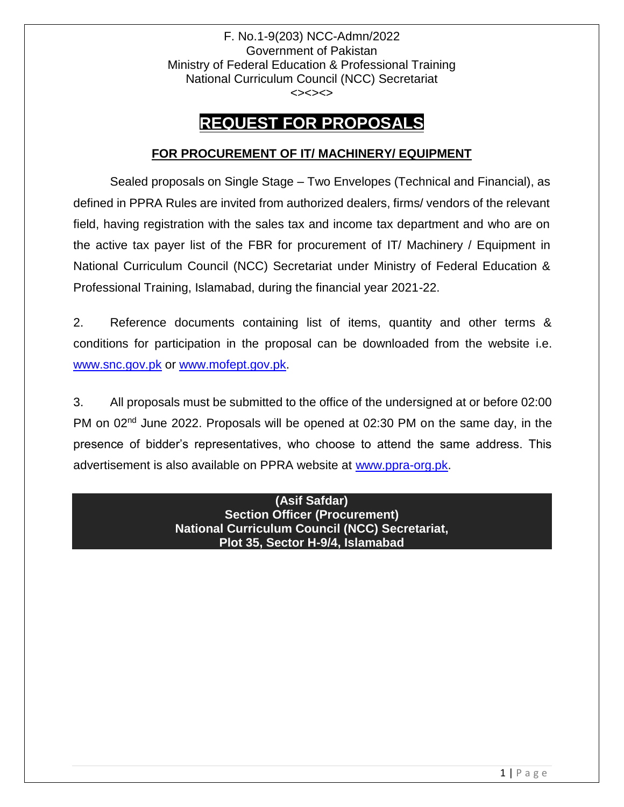F. No.1-9(203) NCC-Admn/2022 Government of Pakistan Ministry of Federal Education & Professional Training National Curriculum Council (NCC) Secretariat <><><>

# **REQUEST FOR PROPOSALS**

# **FOR PROCUREMENT OF IT/ MACHINERY/ EQUIPMENT**

Sealed proposals on Single Stage – Two Envelopes (Technical and Financial), as defined in PPRA Rules are invited from authorized dealers, firms/ vendors of the relevant field, having registration with the sales tax and income tax department and who are on the active tax payer list of the FBR for procurement of IT/ Machinery / Equipment in National Curriculum Council (NCC) Secretariat under Ministry of Federal Education & Professional Training, Islamabad, during the financial year 2021-22.

2. Reference documents containing list of items, quantity and other terms & conditions for participation in the proposal can be downloaded from the website i.e. [www.snc.gov.pk](http://www.snc.gov.pk/) or [www.mofept.gov.pk.](http://www.mofept.gov.pk/)

3. All proposals must be submitted to the office of the undersigned at or before 02:00 PM on 02<sup>nd</sup> June 2022. Proposals will be opened at 02:30 PM on the same day, in the presence of bidder's representatives, who choose to attend the same address. This advertisement is also available on PPRA website at [www.ppra-org.pk.](http://www.ppra-org.pk/)

> **(Asif Safdar) Section Officer (Procurement) National Curriculum Council (NCC) Secretariat, Plot 35, Sector H-9/4, Islamabad**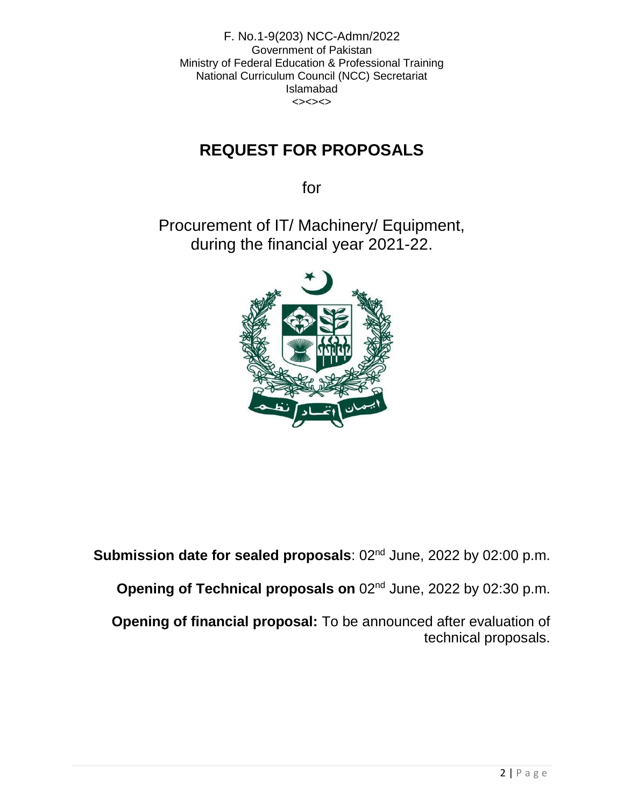F. No.1-9(203) NCC-Admn/2022 Government of Pakistan Ministry of Federal Education & Professional Training National Curriculum Council (NCC) Secretariat Islamabad  $\left\langle \right\rangle \left\langle \right\rangle \left\langle \right\rangle \left\langle \right\rangle$ 

# **REQUEST FOR PROPOSALS**

for

Procurement of IT/ Machinery/ Equipment, during the financial year 2021-22.



**Submission date for sealed proposals: 02<sup>nd</sup> June, 2022 by 02:00 p.m.** 

**Opening of Technical proposals on** 02<sup>nd</sup> June, 2022 by 02:30 p.m.

**Opening of financial proposal:** To be announced after evaluation of technical proposals.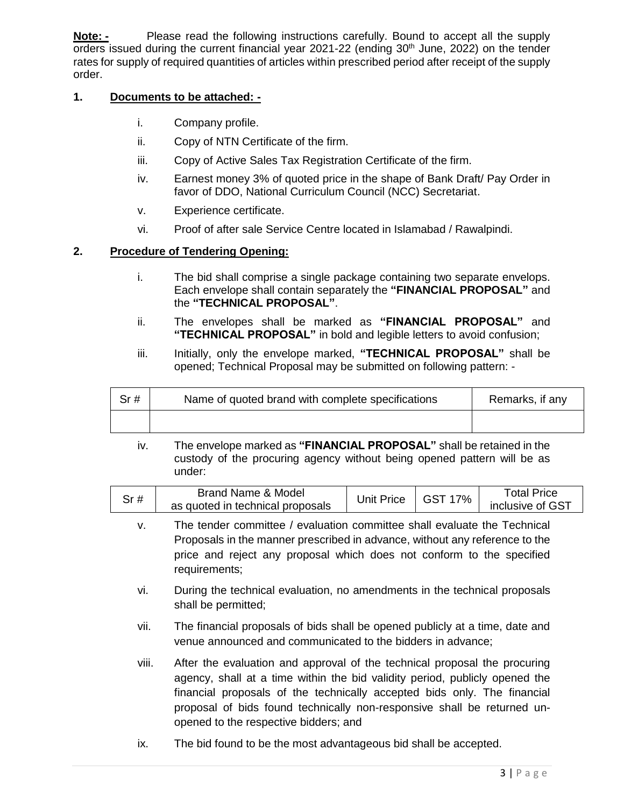**Note: -** Please read the following instructions carefully. Bound to accept all the supply orders issued during the current financial year  $2021-22$  (ending  $30<sup>th</sup>$  June,  $2022$ ) on the tender rates for supply of required quantities of articles within prescribed period after receipt of the supply order.

#### **1. Documents to be attached: -**

- i. Company profile.
- ii. Copy of NTN Certificate of the firm.
- iii. Copy of Active Sales Tax Registration Certificate of the firm.
- iv. Earnest money 3% of quoted price in the shape of Bank Draft/ Pay Order in favor of DDO, National Curriculum Council (NCC) Secretariat.
- v. Experience certificate.
- vi. Proof of after sale Service Centre located in Islamabad / Rawalpindi.

#### **2. Procedure of Tendering Opening:**

- i. The bid shall comprise a single package containing two separate envelops. Each envelope shall contain separately the **"FINANCIAL PROPOSAL"** and the **"TECHNICAL PROPOSAL"**.
- ii. The envelopes shall be marked as **"FINANCIAL PROPOSAL"** and **"TECHNICAL PROPOSAL"** in bold and legible letters to avoid confusion;
- iii. Initially, only the envelope marked, "TECHNICAL PROPOSAL" shall be opened; Technical Proposal may be submitted on following pattern: -

| Sr# | Name of quoted brand with complete specifications | Remarks, if any |  |
|-----|---------------------------------------------------|-----------------|--|
|     |                                                   |                 |  |

iv. The envelope marked as **"FINANCIAL PROPOSAL"** shall be retained in the custody of the procuring agency without being opened pattern will be as under:

| Sr # | Brand Name & Model<br>as quoted in technical proposals | Jnit Price | 7%<br>GST | ™otal Price<br>inclusive of GST |
|------|--------------------------------------------------------|------------|-----------|---------------------------------|
|      |                                                        |            |           |                                 |

- v. The tender committee / evaluation committee shall evaluate the Technical Proposals in the manner prescribed in advance, without any reference to the price and reject any proposal which does not conform to the specified requirements;
- vi. During the technical evaluation, no amendments in the technical proposals shall be permitted;
- vii. The financial proposals of bids shall be opened publicly at a time, date and venue announced and communicated to the bidders in advance;
- viii. After the evaluation and approval of the technical proposal the procuring agency, shall at a time within the bid validity period, publicly opened the financial proposals of the technically accepted bids only. The financial proposal of bids found technically non-responsive shall be returned unopened to the respective bidders; and
- ix. The bid found to be the most advantageous bid shall be accepted.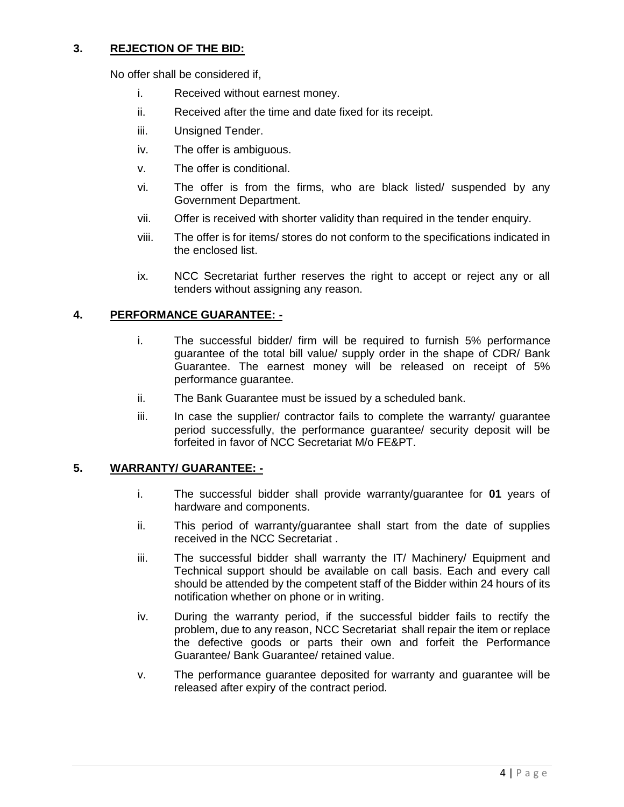#### **3. REJECTION OF THE BID:**

No offer shall be considered if,

- i. Received without earnest money.
- ii. Received after the time and date fixed for its receipt.
- iii. Unsigned Tender.
- iv. The offer is ambiguous.
- v. The offer is conditional.
- vi. The offer is from the firms, who are black listed/ suspended by any Government Department.
- vii. Offer is received with shorter validity than required in the tender enquiry.
- viii. The offer is for items/ stores do not conform to the specifications indicated in the enclosed list.
- ix. NCC Secretariat further reserves the right to accept or reject any or all tenders without assigning any reason.

#### **4. PERFORMANCE GUARANTEE: -**

- i. The successful bidder/ firm will be required to furnish 5% performance guarantee of the total bill value/ supply order in the shape of CDR/ Bank Guarantee. The earnest money will be released on receipt of 5% performance guarantee.
- ii. The Bank Guarantee must be issued by a scheduled bank.
- iii. In case the supplier/ contractor fails to complete the warranty/ guarantee period successfully, the performance guarantee/ security deposit will be forfeited in favor of NCC Secretariat M/o FE&PT.

#### **5. WARRANTY/ GUARANTEE: -**

- i. The successful bidder shall provide warranty/guarantee for **01** years of hardware and components.
- ii. This period of warranty/guarantee shall start from the date of supplies received in the NCC Secretariat .
- iii. The successful bidder shall warranty the IT/ Machinery/ Equipment and Technical support should be available on call basis. Each and every call should be attended by the competent staff of the Bidder within 24 hours of its notification whether on phone or in writing.
- iv. During the warranty period, if the successful bidder fails to rectify the problem, due to any reason, NCC Secretariat shall repair the item or replace the defective goods or parts their own and forfeit the Performance Guarantee/ Bank Guarantee/ retained value.
- v. The performance guarantee deposited for warranty and guarantee will be released after expiry of the contract period.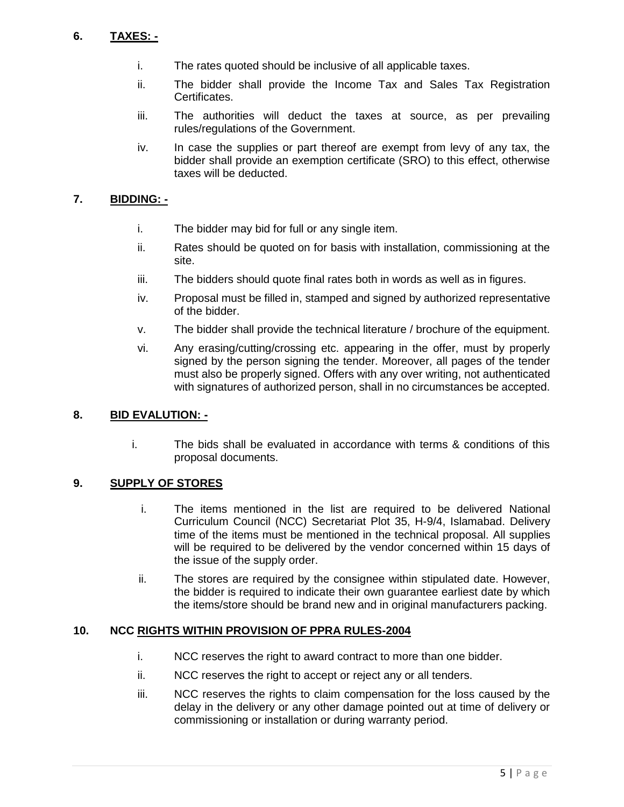# **6. TAXES: -**

- i. The rates quoted should be inclusive of all applicable taxes.
- ii. The bidder shall provide the Income Tax and Sales Tax Registration Certificates.
- iii. The authorities will deduct the taxes at source, as per prevailing rules/regulations of the Government.
- iv. In case the supplies or part thereof are exempt from levy of any tax, the bidder shall provide an exemption certificate (SRO) to this effect, otherwise taxes will be deducted.

# **7. BIDDING: -**

- i. The bidder may bid for full or any single item.
- ii. Rates should be quoted on for basis with installation, commissioning at the site.
- iii. The bidders should quote final rates both in words as well as in figures.
- iv. Proposal must be filled in, stamped and signed by authorized representative of the bidder.
- v. The bidder shall provide the technical literature / brochure of the equipment.
- vi. Any erasing/cutting/crossing etc. appearing in the offer, must by properly signed by the person signing the tender. Moreover, all pages of the tender must also be properly signed. Offers with any over writing, not authenticated with signatures of authorized person, shall in no circumstances be accepted.

#### **8. BID EVALUTION: -**

i. The bids shall be evaluated in accordance with terms & conditions of this proposal documents.

#### **9. SUPPLY OF STORES**

- i. The items mentioned in the list are required to be delivered National Curriculum Council (NCC) Secretariat Plot 35, H-9/4, Islamabad. Delivery time of the items must be mentioned in the technical proposal. All supplies will be required to be delivered by the vendor concerned within 15 days of the issue of the supply order.
- ii. The stores are required by the consignee within stipulated date. However, the bidder is required to indicate their own guarantee earliest date by which the items/store should be brand new and in original manufacturers packing.

#### **10. NCC RIGHTS WITHIN PROVISION OF PPRA RULES-2004**

- i. NCC reserves the right to award contract to more than one bidder.
- ii. NCC reserves the right to accept or reject any or all tenders.
- iii. NCC reserves the rights to claim compensation for the loss caused by the delay in the delivery or any other damage pointed out at time of delivery or commissioning or installation or during warranty period.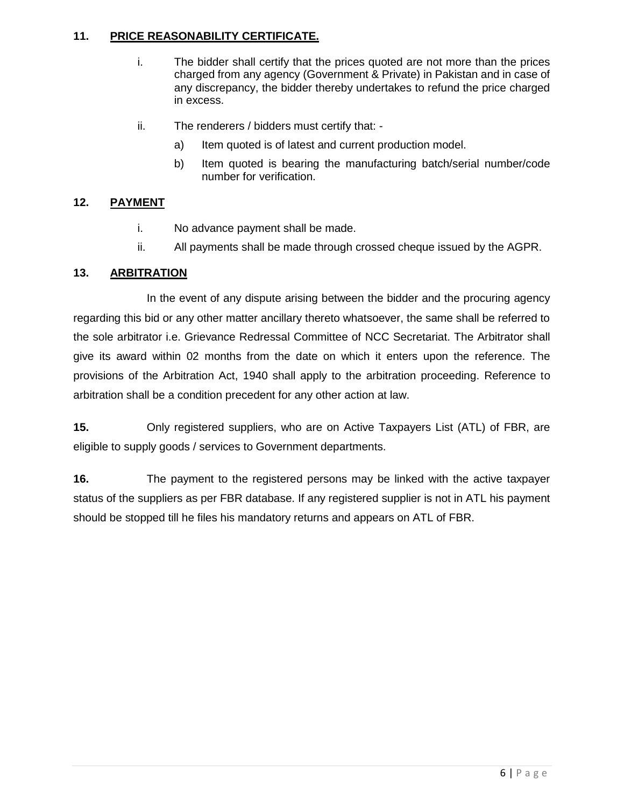# **11. PRICE REASONABILITY CERTIFICATE.**

- i. The bidder shall certify that the prices quoted are not more than the prices charged from any agency (Government & Private) in Pakistan and in case of any discrepancy, the bidder thereby undertakes to refund the price charged in excess.
- ii. The renderers / bidders must certify that:
	- a) Item quoted is of latest and current production model.
	- b) Item quoted is bearing the manufacturing batch/serial number/code number for verification.

# **12. PAYMENT**

- i. No advance payment shall be made.
- ii. All payments shall be made through crossed cheque issued by the AGPR.

## **13. ARBITRATION**

In the event of any dispute arising between the bidder and the procuring agency regarding this bid or any other matter ancillary thereto whatsoever, the same shall be referred to the sole arbitrator i.e. Grievance Redressal Committee of NCC Secretariat. The Arbitrator shall give its award within 02 months from the date on which it enters upon the reference. The provisions of the Arbitration Act, 1940 shall apply to the arbitration proceeding. Reference to arbitration shall be a condition precedent for any other action at law.

**15.** Only registered suppliers, who are on Active Taxpayers List (ATL) of FBR, are eligible to supply goods / services to Government departments.

**16.** The payment to the registered persons may be linked with the active taxpayer status of the suppliers as per FBR database. If any registered supplier is not in ATL his payment should be stopped till he files his mandatory returns and appears on ATL of FBR.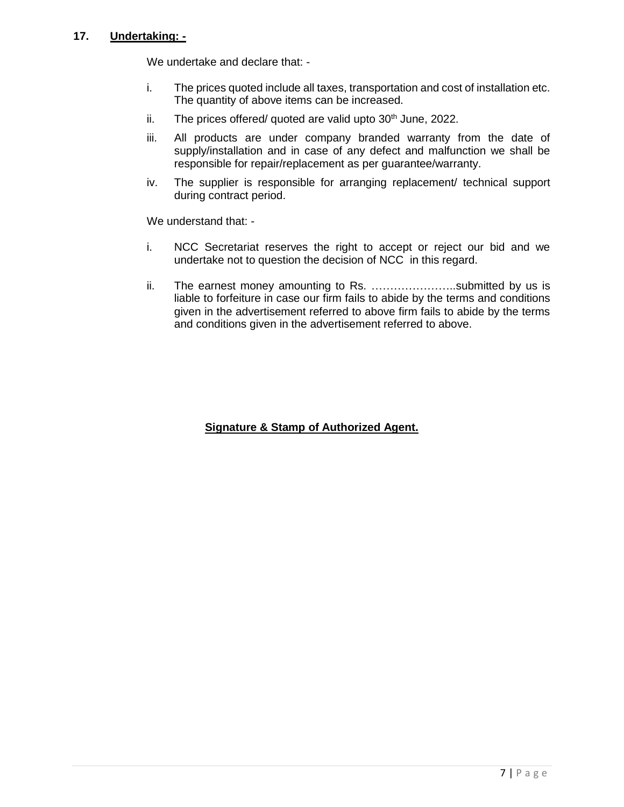## **17. Undertaking: -**

We undertake and declare that: -

- i. The prices quoted include all taxes, transportation and cost of installation etc. The quantity of above items can be increased.
- ii. The prices offered/ quoted are valid upto  $30<sup>th</sup>$  June, 2022.
- iii. All products are under company branded warranty from the date of supply/installation and in case of any defect and malfunction we shall be responsible for repair/replacement as per guarantee/warranty.
- iv. The supplier is responsible for arranging replacement/ technical support during contract period.

We understand that: -

- i. NCC Secretariat reserves the right to accept or reject our bid and we undertake not to question the decision of NCC in this regard.
- ii. The earnest money amounting to Rs. …………………..submitted by us is liable to forfeiture in case our firm fails to abide by the terms and conditions given in the advertisement referred to above firm fails to abide by the terms and conditions given in the advertisement referred to above.

# **Signature & Stamp of Authorized Agent.**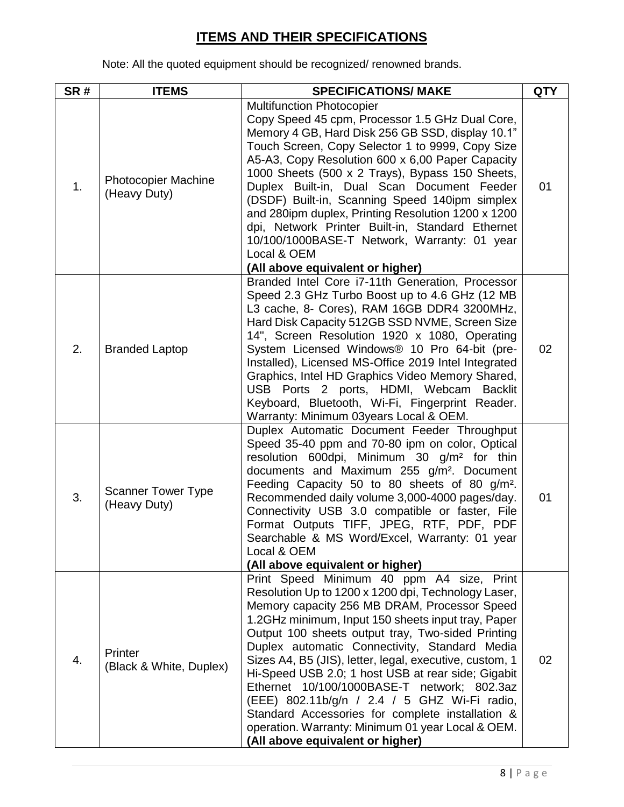# **ITEMS AND THEIR SPECIFICATIONS**

Note: All the quoted equipment should be recognized/ renowned brands.

| SR#              | <b>ITEMS</b>                               | <b>SPECIFICATIONS/ MAKE</b>                                                                                                                                                                                                                                                                                                                                                                                                                                                                                                                                                                                                                                               | <b>QTY</b> |
|------------------|--------------------------------------------|---------------------------------------------------------------------------------------------------------------------------------------------------------------------------------------------------------------------------------------------------------------------------------------------------------------------------------------------------------------------------------------------------------------------------------------------------------------------------------------------------------------------------------------------------------------------------------------------------------------------------------------------------------------------------|------------|
| 1.               | <b>Photocopier Machine</b><br>(Heavy Duty) | <b>Multifunction Photocopier</b><br>Copy Speed 45 cpm, Processor 1.5 GHz Dual Core,<br>Memory 4 GB, Hard Disk 256 GB SSD, display 10.1"<br>Touch Screen, Copy Selector 1 to 9999, Copy Size<br>A5-A3, Copy Resolution 600 x 6,00 Paper Capacity<br>1000 Sheets (500 x 2 Trays), Bypass 150 Sheets,<br>Duplex Built-in, Dual Scan Document Feeder<br>(DSDF) Built-in, Scanning Speed 140ipm simplex<br>and 280ipm duplex, Printing Resolution 1200 x 1200<br>dpi, Network Printer Built-in, Standard Ethernet<br>10/100/1000BASE-T Network, Warranty: 01 year<br>Local & OEM<br>(All above equivalent or higher)                                                           | 01         |
| 2.               | <b>Branded Laptop</b>                      | Branded Intel Core i7-11th Generation, Processor<br>Speed 2.3 GHz Turbo Boost up to 4.6 GHz (12 MB<br>L3 cache, 8- Cores), RAM 16GB DDR4 3200MHz,<br>Hard Disk Capacity 512GB SSD NVME, Screen Size<br>14", Screen Resolution 1920 x 1080, Operating<br>System Licensed Windows® 10 Pro 64-bit (pre-<br>Installed), Licensed MS-Office 2019 Intel Integrated<br>Graphics, Intel HD Graphics Video Memory Shared,<br>USB Ports 2 ports, HDMI, Webcam<br><b>Backlit</b><br>Keyboard, Bluetooth, Wi-Fi, Fingerprint Reader.<br>Warranty: Minimum 03years Local & OEM.                                                                                                        | 02         |
| 3.               | <b>Scanner Tower Type</b><br>(Heavy Duty)  | Duplex Automatic Document Feeder Throughput<br>Speed 35-40 ppm and 70-80 ipm on color, Optical<br>resolution 600dpi, Minimum 30 g/m <sup>2</sup> for thin<br>documents and Maximum 255 g/m <sup>2</sup> . Document<br>Feeding Capacity 50 to 80 sheets of 80 g/m <sup>2</sup> .<br>Recommended daily volume 3,000-4000 pages/day.<br>Connectivity USB 3.0 compatible or faster, File<br>Format Outputs TIFF, JPEG, RTF, PDF, PDF<br>Searchable & MS Word/Excel, Warranty: 01 year<br>Local & OEM<br>(All above equivalent or higher)                                                                                                                                      | 01         |
| $\overline{4}$ . | Printer<br>(Black & White, Duplex)         | Print Speed Minimum 40 ppm A4 size, Print<br>Resolution Up to 1200 x 1200 dpi, Technology Laser,<br>Memory capacity 256 MB DRAM, Processor Speed<br>1.2GHz minimum, Input 150 sheets input tray, Paper<br>Output 100 sheets output tray, Two-sided Printing<br>Duplex automatic Connectivity, Standard Media<br>Sizes A4, B5 (JIS), letter, legal, executive, custom, 1<br>Hi-Speed USB 2.0; 1 host USB at rear side; Gigabit<br>Ethernet 10/100/1000BASE-T network; 802.3az<br>(EEE) 802.11b/g/n / 2.4 / 5 GHZ Wi-Fi radio,<br>Standard Accessories for complete installation &<br>operation. Warranty: Minimum 01 year Local & OEM.<br>(All above equivalent or higher) | 02         |